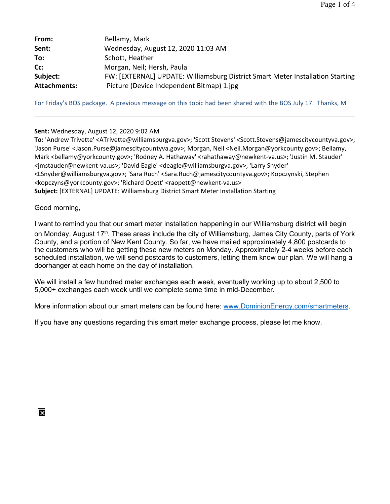| From:               | Bellamy, Mark                                                                  |
|---------------------|--------------------------------------------------------------------------------|
| Sent:               | Wednesday, August 12, 2020 11:03 AM                                            |
| To:                 | Schott, Heather                                                                |
| Cc:                 | Morgan, Neil; Hersh, Paula                                                     |
| Subject:            | FW: [EXTERNAL] UPDATE: Williamsburg District Smart Meter Installation Starting |
| <b>Attachments:</b> | Picture (Device Independent Bitmap) 1.jpg                                      |

For Friday's BOS package. A previous message on this topic had been shared with the BOS July 17. Thanks, M

## **Sent:** Wednesday, August 12, 2020 9:02 AM

**To:** 'Andrew Trivette' <ATrivette@williamsburgva.gov>; 'Scott Stevens' <Scott.Stevens@jamescitycountyva.gov>; 'Jason Purse' <Jason.Purse@jamescitycountyva.gov>; Morgan, Neil <Neil.Morgan@yorkcounty.gov>; Bellamy, Mark <bellamy@yorkcounty.gov>; 'Rodney A. Hathaway' <rahathaway@newkent-va.us>; 'Justin M. Stauder' <jmstauder@newkent-va.us>; 'David Eagle' <deagle@williamsburgva.gov>; 'Larry Snyder' <LSnyder@williamsburgva.gov>; 'Sara Ruch' <Sara.Ruch@jamescitycountyva.gov>; Kopczynski, Stephen <kopczyns@yorkcounty.gov>; 'Richard Opett' <raopett@newkent-va.us> **Subject:** [EXTERNAL] UPDATE: Williamsburg District Smart Meter Installation Starting

Good morning,

I want to remind you that our smart meter installation happening in our Williamsburg district will begin on Monday, August 17<sup>th</sup>. These areas include the city of Williamsburg, James City County, parts of York County, and a portion of New Kent County. So far, we have mailed approximately 4,800 postcards to the customers who will be getting these new meters on Monday. Approximately 2-4 weeks before each scheduled installation, we will send postcards to customers, letting them know our plan. We will hang a doorhanger at each home on the day of installation.

We will install a few hundred meter exchanges each week, eventually working up to about 2,500 to 5,000+ exchanges each week until we complete some time in mid-December.

More information about our smart meters can be found here: www.DominionEnergy.com/smartmeters.

If you have any questions regarding this smart meter exchange process, please let me know.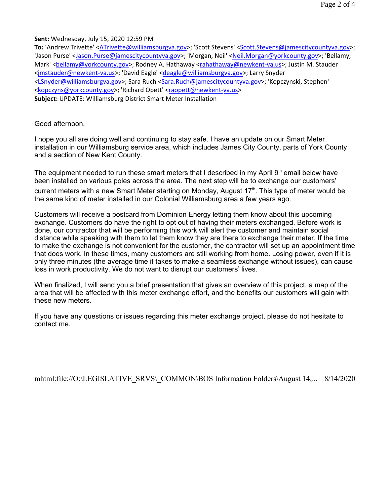Page 2 of 4

**Sent:** Wednesday, July 15, 2020 12:59 PM

To: 'Andrew Trivette' <ATrivette@williamsburgva.gov>; 'Scott Stevens' <Scott.Stevens@jamescitycountyva.gov>; 'Jason Purse' <Jason.Purse@jamescitycountyva.gov>; 'Morgan, Neil' <Neil.Morgan@yorkcounty.gov>; 'Bellamy, Mark' <bellamy@yorkcounty.gov>; Rodney A. Hathaway <rahathaway@newkent-va.us>; Justin M. Stauder <jmstauder@newkent-va.us>; 'David Eagle' <deagle@williamsburgva.gov>; Larry Snyder <LSnyder@williamsburgva.gov>; Sara Ruch <Sara.Ruch@jamescitycountyva.gov>; 'Kopczynski, Stephen' <kopczyns@yorkcounty.gov>; 'Richard Opett' <raopett@newkent-va.us> **Subject:** UPDATE: Williamsburg District Smart Meter Installation

Good afternoon,

I hope you all are doing well and continuing to stay safe. I have an update on our Smart Meter installation in our Williamsburg service area, which includes James City County, parts of York County and a section of New Kent County.

The equipment needed to run these smart meters that I described in my April  $9<sup>th</sup>$  email below have been installed on various poles across the area. The next step will be to exchange our customers' current meters with a new Smart Meter starting on Monday, August  $17<sup>th</sup>$ . This type of meter would be the same kind of meter installed in our Colonial Williamsburg area a few years ago.

Customers will receive a postcard from Dominion Energy letting them know about this upcoming exchange. Customers do have the right to opt out of having their meters exchanged. Before work is done, our contractor that will be performing this work will alert the customer and maintain social distance while speaking with them to let them know they are there to exchange their meter. If the time to make the exchange is not convenient for the customer, the contractor will set up an appointment time that does work. In these times, many customers are still working from home. Losing power, even if it is only three minutes (the average time it takes to make a seamless exchange without issues), can cause loss in work productivity. We do not want to disrupt our customers' lives.

When finalized, I will send you a brief presentation that gives an overview of this project, a map of the area that will be affected with this meter exchange effort, and the benefits our customers will gain with these new meters.

If you have any questions or issues regarding this meter exchange project, please do not hesitate to contact me.

mhtml:file://O:\LEGISLATIVE\_SRVS\\_COMMON\BOS Information Folders\August 14,... 8/14/2020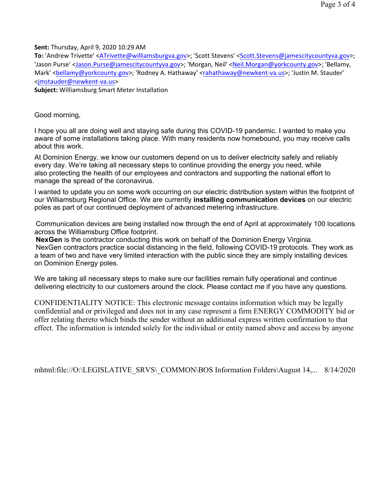**Sent:** Thursday, April 9, 2020 10:29 AM

To: 'Andrew Trivette' <ATrivette@williamsburgva.gov>; 'Scott Stevens' <Scott.Stevens@jamescitycountyva.gov>; 'Jason Purse' <Jason.Purse@jamescitycountyva.gov>; 'Morgan, Neil' <Neil.Morgan@yorkcounty.gov>; 'Bellamy, Mark' <bellamy@yorkcounty.gov>; 'Rodney A. Hathaway' <rahathaway@newkent-va.us>; 'Justin M. Stauder' <jmstauder@newkent-va.us>

**Subject:** Williamsburg Smart Meter Installation

Good morning,

I hope you all are doing well and staying safe during this COVID-19 pandemic. I wanted to make you aware of some installations taking place. With many residents now homebound, you may receive calls about this work.

At Dominion Energy, we know our customers depend on us to deliver electricity safely and reliably every day. We're taking all necessary steps to continue providing the energy you need, while also protecting the health of our employees and contractors and supporting the national effort to manage the spread of the coronavirus.

I wanted to update you on some work occurring on our electric distribution system within the footprint of our Williamsburg Regional Office. We are currently **installing communication devices** on our electric poles as part of our continued deployment of advanced metering infrastructure.

Communication devices are being installed now through the end of April at approximately 100 locations across the Williamsburg Office footprint.

**NexGen** is the contractor conducting this work on behalf of the Dominion Energy Virginia. NexGen contractors practice social distancing in the field, following COVID-19 protocols. They work as a team of two and have very limited interaction with the public since they are simply installing devices on Dominion Energy poles.

We are taking all necessary steps to make sure our facilities remain fully operational and continue delivering electricity to our customers around the clock. Please contact me if you have any questions.

CONFIDENTIALITY NOTICE: This electronic message contains information which may be legally confidential and or privileged and does not in any case represent a firm ENERGY COMMODITY bid or offer relating thereto which binds the sender without an additional express written confirmation to that effect. The information is intended solely for the individual or entity named above and access by anyone

mhtml:file://O:\LEGISLATIVE\_SRVS\\_COMMON\BOS Information Folders\August 14,... 8/14/2020